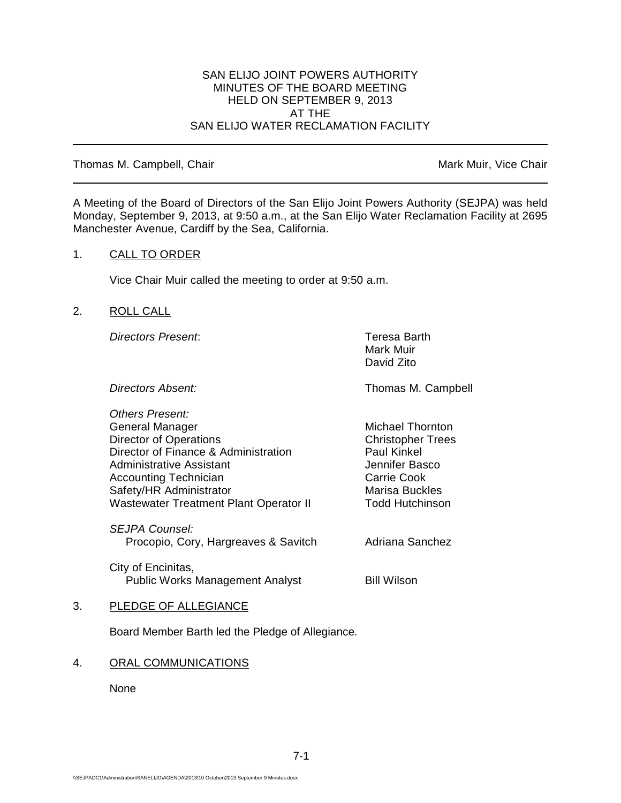#### SAN ELIJO JOINT POWERS AUTHORITY MINUTES OF THE BOARD MEETING HELD ON SEPTEMBER 9, 2013 AT THE SAN ELIJO WATER RECLAMATION FACILITY

#### Thomas M. Campbell, Chair Mark Muir, Vice Chair Muir, Vice Chair

A Meeting of the Board of Directors of the San Elijo Joint Powers Authority (SEJPA) was held Monday, September 9, 2013, at 9:50 a.m., at the San Elijo Water Reclamation Facility at 2695 Manchester Avenue, Cardiff by the Sea, California.

## 1. CALL TO ORDER

Vice Chair Muir called the meeting to order at 9:50 a.m.

## 2. ROLL CALL

*Directors Present*: Teresa Barth

Mark Muir David Zito

**Directors Absent:** Thomas M. Campbell

*Others Present:* General Manager Michael Thornton Director of Operations<br>
Director of Finance & Administration<br>
Director of Finance & Administration<br>
Daul Kinkel Director of Finance & Administration Administrative Assistant According to the Muslim Jennifer Basco Accounting Technician and Carrie Cook<br>
Safety/HR Administrator Carrie Cook<br>
Marisa Buckles Safety/HR Administrator Wastewater Treatment Plant Operator II Todd Hutchinson

*SEJPA Counsel:* Procopio, Cory, Hargreaves & Savitch Adriana Sanchez

City of Encinitas, Public Works Management Analyst **Bill Wilson** 

## 3. PLEDGE OF ALLEGIANCE

Board Member Barth led the Pledge of Allegiance.

## 4. ORAL COMMUNICATIONS

None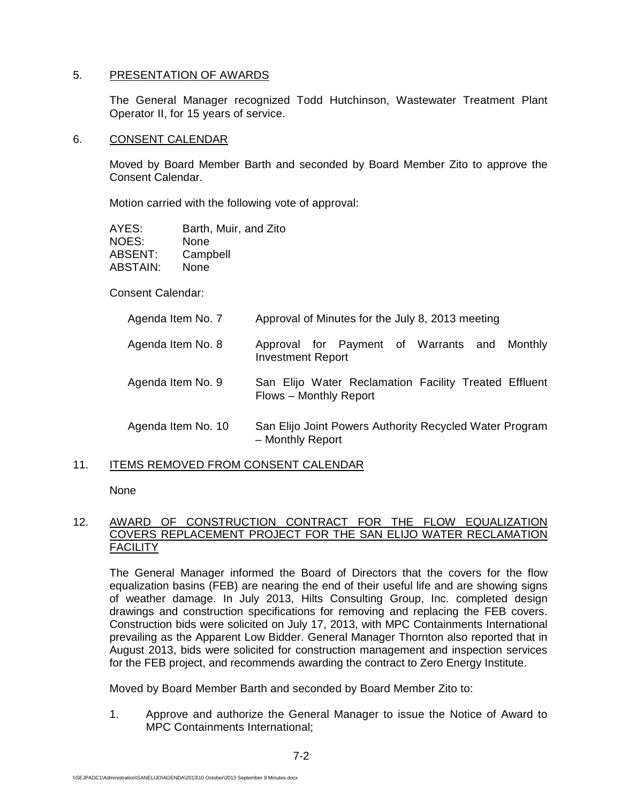## 5. PRESENTATION OF AWARDS

The General Manager recognized Todd Hutchinson, Wastewater Treatment Plant Operator II, for 15 years of service.

#### 6. CONSENT CALENDAR

Moved by Board Member Barth and seconded by Board Member Zito to approve the Consent Calendar.

Motion carried with the following vote of approval:

| AYES:    | Barth, Muir, and Zito |
|----------|-----------------------|
| NOES:    | None                  |
| ABSENT:  | Campbell              |
| ABSTAIN: | None                  |

Consent Calendar:

| Agenda Item No. 7  | Approval of Minutes for the July 8, 2013 meeting                                |
|--------------------|---------------------------------------------------------------------------------|
| Agenda Item No. 8  | Approval for Payment of Warrants and Monthly<br><b>Investment Report</b>        |
| Agenda Item No. 9  | San Elijo Water Reclamation Facility Treated Effluent<br>Flows - Monthly Report |
| Agenda Item No. 10 | San Elijo Joint Powers Authority Recycled Water Program<br>- Monthly Report     |

#### 11. ITEMS REMOVED FROM CONSENT CALENDAR

None

## 12. AWARD OF CONSTRUCTION CONTRACT FOR THE FLOW EQUALIZATION COVERS REPLACEMENT PROJECT FOR THE SAN ELIJO WATER RECLAMATION **FACILITY**

The General Manager informed the Board of Directors that the covers for the flow equalization basins (FEB) are nearing the end of their useful life and are showing signs of weather damage. In July 2013, Hilts Consulting Group, Inc. completed design drawings and construction specifications for removing and replacing the FEB covers. Construction bids were solicited on July 17, 2013, with MPC Containments International prevailing as the Apparent Low Bidder. General Manager Thornton also reported that in August 2013, bids were solicited for construction management and inspection services for the FEB project, and recommends awarding the contract to Zero Energy Institute.

Moved by Board Member Barth and seconded by Board Member Zito to:

1. Approve and authorize the General Manager to issue the Notice of Award to MPC Containments International;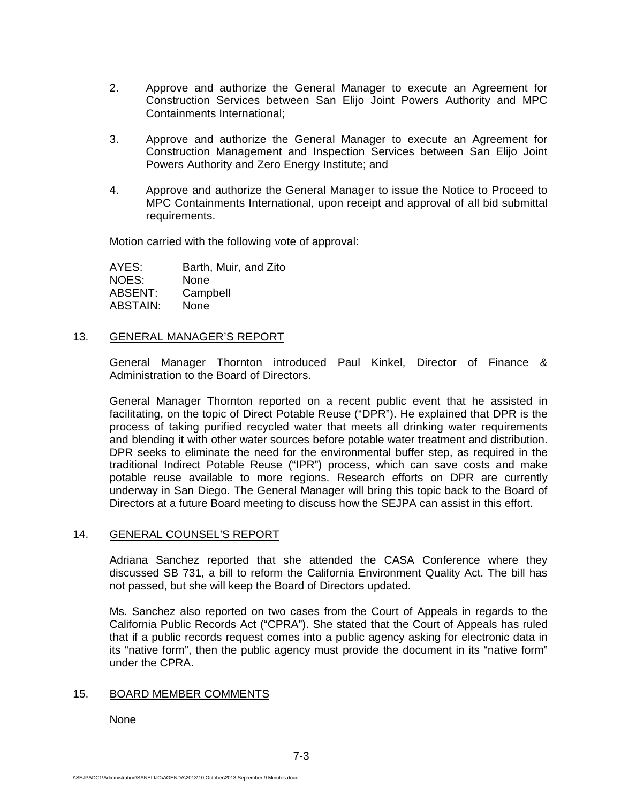- 2. Approve and authorize the General Manager to execute an Agreement for Construction Services between San Elijo Joint Powers Authority and MPC Containments International;
- 3. Approve and authorize the General Manager to execute an Agreement for Construction Management and Inspection Services between San Elijo Joint Powers Authority and Zero Energy Institute; and
- 4. Approve and authorize the General Manager to issue the Notice to Proceed to MPC Containments International, upon receipt and approval of all bid submittal requirements.

Motion carried with the following vote of approval:

AYES: Barth, Muir, and Zito<br>NOES: None NOES: ABSENT: Campbell ABSTAIN: None

#### 13. GENERAL MANAGER'S REPORT

General Manager Thornton introduced Paul Kinkel, Director of Finance & Administration to the Board of Directors.

General Manager Thornton reported on a recent public event that he assisted in facilitating, on the topic of Direct Potable Reuse ("DPR"). He explained that DPR is the process of taking purified recycled water that meets all drinking water requirements and blending it with other water sources before potable water treatment and distribution. DPR seeks to eliminate the need for the environmental buffer step, as required in the traditional Indirect Potable Reuse ("IPR") process, which can save costs and make potable reuse available to more regions. Research efforts on DPR are currently underway in San Diego. The General Manager will bring this topic back to the Board of Directors at a future Board meeting to discuss how the SEJPA can assist in this effort.

#### 14. GENERAL COUNSEL'S REPORT

Adriana Sanchez reported that she attended the CASA Conference where they discussed SB 731, a bill to reform the California Environment Quality Act. The bill has not passed, but she will keep the Board of Directors updated.

Ms. Sanchez also reported on two cases from the Court of Appeals in regards to the California Public Records Act ("CPRA"). She stated that the Court of Appeals has ruled that if a public records request comes into a public agency asking for electronic data in its "native form", then the public agency must provide the document in its "native form" under the CPRA.

#### 15. BOARD MEMBER COMMENTS

None